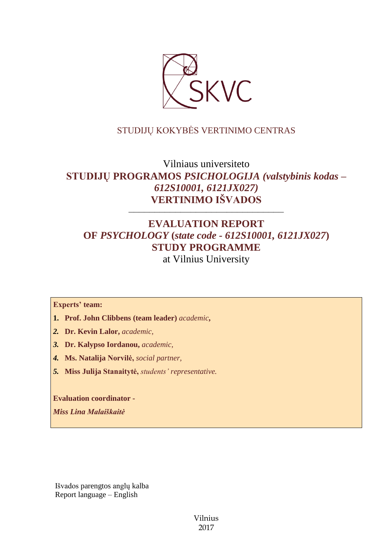

# STUDIJŲ KOKYBĖS VERTINIMO CENTRAS

# Vilniaus universiteto **STUDIJŲ PROGRAMOS** *PSICHOLOGIJA (valstybinis kodas – 612S10001, 6121JX027)* **VERTINIMO IŠVADOS**

# **EVALUATION REPORT OF** *PSYCHOLOGY* **(***state code - 612S10001, 6121JX027***) STUDY PROGRAMME** at Vilnius University

––––––––––––––––––––––––––––––

#### **Experts' team:**

- **1. Prof. John Clibbens (team leader)** *academic***,**
- *2.* **Dr. Kevin Lalor,** *academic,*
- *3.* **Dr. Kalypso Iordanou,** *academic,*
- *4.* **Ms. Natalija Norvilė,** *social partner,*
- *5.* **Miss Julija Stanaitytė,** *students' representative.*

**Evaluation coordinator -**

*Miss Lina Malaiškaitė*

Išvados parengtos anglų kalba Report language – English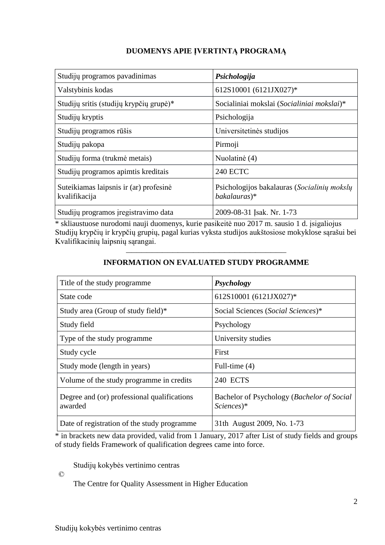# **DUOMENYS APIE ĮVERTINTĄ PROGRAMĄ**

| Studijų programos pavadinimas                           | Psichologija                                                |
|---------------------------------------------------------|-------------------------------------------------------------|
| Valstybinis kodas                                       | 612S10001 (6121JX027)*                                      |
| Studijų sritis (studijų krypčių grupė)*                 | Socialiniai mokslai (Socialiniai mokslai)*                  |
| Studijų kryptis                                         | Psichologija                                                |
| Studijų programos rūšis                                 | Universitetinės studijos                                    |
| Studijų pakopa                                          | Pirmoji                                                     |
| Studijų forma (trukmė metais)                           | Nuolatinė (4)                                               |
| Studijų programos apimtis kreditais                     | <b>240 ECTC</b>                                             |
| Suteikiamas laipsnis ir (ar) profesinė<br>kvalifikacija | Psichologijos bakalauras (Socialinių mokslų<br>bakalauras)* |
| Studijų programos įregistravimo data                    | 2009-08-31 Isak. Nr. 1-73                                   |

\* skliaustuose nurodomi nauji duomenys, kurie pasikeitė nuo 2017 m. sausio 1 d. įsigaliojus Studijų krypčių ir krypčių grupių, pagal kurias vyksta studijos aukštosiose mokyklose sąrašui bei Kvalifikacinių laipsnių sąrangai.

| Title of the study programme                           | Psychology                                                           |
|--------------------------------------------------------|----------------------------------------------------------------------|
| State code                                             | 612S10001 (6121JX027)*                                               |
| Study area (Group of study field)*                     | Social Sciences (Social Sciences)*                                   |
| Study field                                            | Psychology                                                           |
| Type of the study programme                            | University studies                                                   |
| Study cycle                                            | First                                                                |
| Study mode (length in years)                           | Full-time (4)                                                        |
| Volume of the study programme in credits               | 240 ECTS                                                             |
| Degree and (or) professional qualifications<br>awarded | Bachelor of Psychology (Bachelor of Social<br>$Science$ <sup>*</sup> |
| Date of registration of the study programme            | 31th August 2009, No. 1-73                                           |

# ––––––––––––––––––––––––––––––– **INFORMATION ON EVALUATED STUDY PROGRAMME**

\* in brackets new data provided, valid from 1 January, 2017 after List of study fields and groups of study fields Framework of qualification degrees came into force.

Studijų kokybės vertinimo centras

©

The Centre for Quality Assessment in Higher Education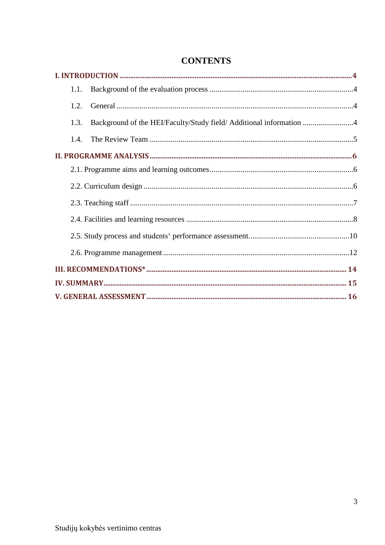| 1.1.                                                                        |  |
|-----------------------------------------------------------------------------|--|
| 1.2.                                                                        |  |
| Background of the HEI/Faculty/Study field/ Additional information 4<br>1.3. |  |
|                                                                             |  |
|                                                                             |  |
|                                                                             |  |
|                                                                             |  |
|                                                                             |  |
|                                                                             |  |
|                                                                             |  |
|                                                                             |  |
|                                                                             |  |
|                                                                             |  |
|                                                                             |  |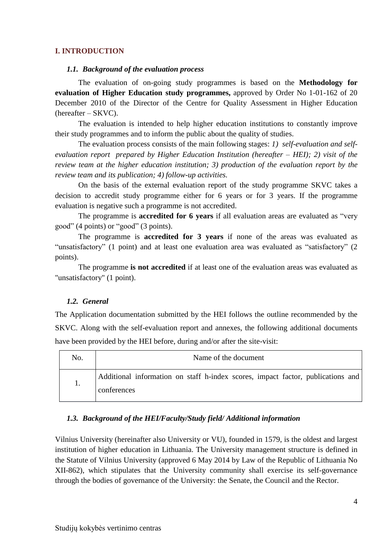#### **I. INTRODUCTION**

#### *1.1. Background of the evaluation process*

The evaluation of on-going study programmes is based on the **Methodology for evaluation of Higher Education study programmes,** approved by Order No 1-01-162 of 20 December 2010 of the Director of the Centre for Quality Assessment in Higher Education (hereafter – SKVC).

The evaluation is intended to help higher education institutions to constantly improve their study programmes and to inform the public about the quality of studies.

The evaluation process consists of the main following stages: *1) self-evaluation and selfevaluation report prepared by Higher Education Institution (hereafter – HEI); 2) visit of the review team at the higher education institution; 3) production of the evaluation report by the review team and its publication; 4) follow-up activities.*

On the basis of the external evaluation report of the study programme SKVC takes a decision to accredit study programme either for 6 years or for 3 years. If the programme evaluation is negative such a programme is not accredited.

The programme is **accredited for 6 years** if all evaluation areas are evaluated as "very good" (4 points) or "good" (3 points).

The programme is **accredited for 3 years** if none of the areas was evaluated as "unsatisfactory" (1 point) and at least one evaluation area was evaluated as "satisfactory" (2 points).

The programme **is not accredited** if at least one of the evaluation areas was evaluated as "unsatisfactory" (1 point).

#### *1.2. General*

The Application documentation submitted by the HEI follows the outline recommended by the SKVC. Along with the self-evaluation report and annexes, the following additional documents have been provided by the HEI before, during and/or after the site-visit:

| No. | Name of the document                                                                           |  |
|-----|------------------------------------------------------------------------------------------------|--|
| Ī.  | Additional information on staff h-index scores, impact factor, publications and<br>conferences |  |

#### *1.3. Background of the HEI/Faculty/Study field/ Additional information*

Vilnius University (hereinafter also University or VU), founded in 1579, is the oldest and largest institution of higher education in Lithuania. The University management structure is defined in the Statute of Vilnius University (approved 6 May 2014 by Law of the Republic of Lithuania No XII-862), which stipulates that the University community shall exercise its self-governance through the bodies of governance of the University: the Senate, the Council and the Rector.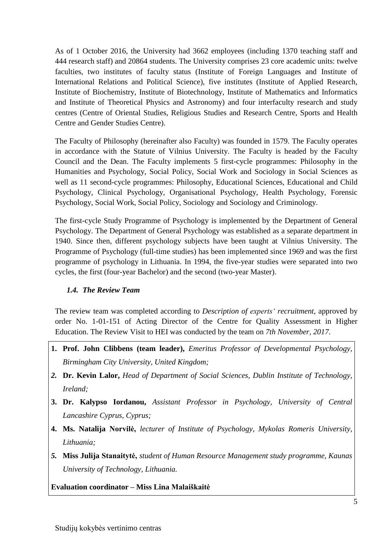As of 1 October 2016, the University had 3662 employees (including 1370 teaching staff and 444 research staff) and 20864 students. The University comprises 23 core academic units: twelve faculties, two institutes of faculty status (Institute of Foreign Languages and Institute of International Relations and Political Science), five institutes (Institute of Applied Research, Institute of Biochemistry, Institute of Biotechnology, Institute of Mathematics and Informatics and Institute of Theoretical Physics and Astronomy) and four interfaculty research and study centres (Centre of Oriental Studies, Religious Studies and Research Centre, Sports and Health Centre and Gender Studies Centre).

The Faculty of Philosophy (hereinafter also Faculty) was founded in 1579. The Faculty operates in accordance with the Statute of Vilnius University. The Faculty is headed by the Faculty Council and the Dean. The Faculty implements 5 first-cycle programmes: Philosophy in the Humanities and Psychology, Social Policy, Social Work and Sociology in Social Sciences as well as 11 second-cycle programmes: Philosophy, Educational Sciences, Educational and Child Psychology, Clinical Psychology, Organisational Psychology, Health Psychology, Forensic Psychology, Social Work, Social Policy, Sociology and Sociology and Criminology.

The first-cycle Study Programme of Psychology is implemented by the Department of General Psychology. The Department of General Psychology was established as a separate department in 1940. Since then, different psychology subjects have been taught at Vilnius University. The Programme of Psychology (full-time studies) has been implemented since 1969 and was the first programme of psychology in Lithuania. In 1994, the five-year studies were separated into two cycles, the first (four-year Bachelor) and the second (two-year Master).

# *1.4. The Review Team*

The review team was completed according to *Description of experts' recruitment*, approved by order No. 1-01-151 of Acting Director of the Centre for Quality Assessment in Higher Education. The Review Visit to HEI was conducted by the team on *7th November, 2017.*

- **1. Prof. John Clibbens (team leader),** *Emeritus Professor of Developmental Psychology, Birmingham City University, United Kingdom;*
- *2.* **Dr. Kevin Lalor,** *Head of Department of Social Sciences, Dublin Institute of Technology, Ireland;*
- **3. Dr. Kalypso Iordanou,** *Assistant Professor in Psychology, University of Central Lancashire Cyprus, Cyprus;*
- **4. Ms. Natalija Norvilė,** *lecturer of Institute of Psychology, Mykolas Romeris University, Lithuania;*
- *5.* **Miss Julija Stanaitytė,** *student of Human Resource Management study programme, Kaunas University of Technology, Lithuania.*

**Evaluation coordinator – Miss Lina Malaiškaitė**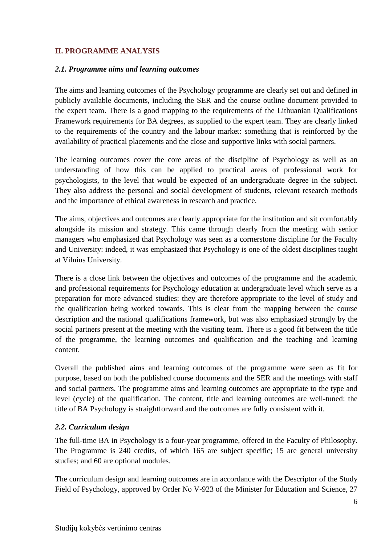## **II. PROGRAMME ANALYSIS**

#### *2.1. Programme aims and learning outcomes*

The aims and learning outcomes of the Psychology programme are clearly set out and defined in publicly available documents, including the SER and the course outline document provided to the expert team. There is a good mapping to the requirements of the Lithuanian Qualifications Framework requirements for BA degrees, as supplied to the expert team. They are clearly linked to the requirements of the country and the labour market: something that is reinforced by the availability of practical placements and the close and supportive links with social partners.

The learning outcomes cover the core areas of the discipline of Psychology as well as an understanding of how this can be applied to practical areas of professional work for psychologists, to the level that would be expected of an undergraduate degree in the subject. They also address the personal and social development of students, relevant research methods and the importance of ethical awareness in research and practice.

The aims, objectives and outcomes are clearly appropriate for the institution and sit comfortably alongside its mission and strategy. This came through clearly from the meeting with senior managers who emphasized that Psychology was seen as a cornerstone discipline for the Faculty and University: indeed, it was emphasized that Psychology is one of the oldest disciplines taught at Vilnius University.

There is a close link between the objectives and outcomes of the programme and the academic and professional requirements for Psychology education at undergraduate level which serve as a preparation for more advanced studies: they are therefore appropriate to the level of study and the qualification being worked towards. This is clear from the mapping between the course description and the national qualifications framework, but was also emphasized strongly by the social partners present at the meeting with the visiting team. There is a good fit between the title of the programme, the learning outcomes and qualification and the teaching and learning content.

Overall the published aims and learning outcomes of the programme were seen as fit for purpose, based on both the published course documents and the SER and the meetings with staff and social partners. The programme aims and learning outcomes are appropriate to the type and level (cycle) of the qualification. The content, title and learning outcomes are well-tuned: the title of BA Psychology is straightforward and the outcomes are fully consistent with it.

### *2.2. Curriculum design*

The full-time BA in Psychology is a four-year programme, offered in the Faculty of Philosophy. The Programme is 240 credits, of which 165 are subject specific; 15 are general university studies; and 60 are optional modules.

The curriculum design and learning outcomes are in accordance with the Descriptor of the Study Field of Psychology, approved by Order No V-923 of the Minister for Education and Science, 27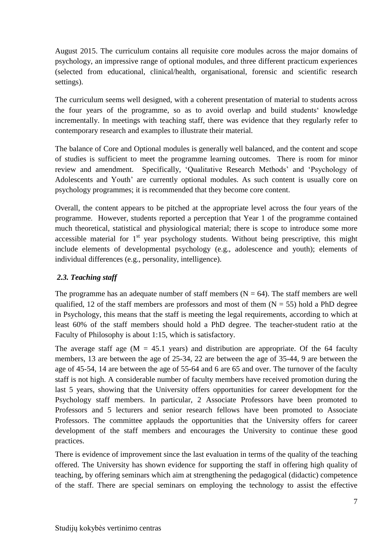August 2015. The curriculum contains all requisite core modules across the major domains of psychology, an impressive range of optional modules, and three different practicum experiences (selected from educational, clinical/health, organisational, forensic and scientific research settings).

The curriculum seems well designed, with a coherent presentation of material to students across the four years of the programme, so as to avoid overlap and build students' knowledge incrementally. In meetings with teaching staff, there was evidence that they regularly refer to contemporary research and examples to illustrate their material.

The balance of Core and Optional modules is generally well balanced, and the content and scope of studies is sufficient to meet the programme learning outcomes. There is room for minor review and amendment. Specifically, 'Qualitative Research Methods' and 'Psychology of Adolescents and Youth' are currently optional modules. As such content is usually core on psychology programmes; it is recommended that they become core content.

Overall, the content appears to be pitched at the appropriate level across the four years of the programme. However, students reported a perception that Year 1 of the programme contained much theoretical, statistical and physiological material; there is scope to introduce some more accessible material for 1<sup>st</sup> year psychology students. Without being prescriptive, this might include elements of developmental psychology (e.g., adolescence and youth); elements of individual differences (e.g., personality, intelligence).

# *2.3. Teaching staff*

The programme has an adequate number of staff members ( $N = 64$ ). The staff members are well qualified, 12 of the staff members are professors and most of them  $(N = 55)$  hold a PhD degree in Psychology, this means that the staff is meeting the legal requirements, according to which at least 60% of the staff members should hold a PhD degree. The teacher-student ratio at the Faculty of Philosophy is about 1:15, which is satisfactory.

The average staff age  $(M = 45.1$  years) and distribution are appropriate. Of the 64 faculty members, 13 are between the age of 25-34, 22 are between the age of 35-44, 9 are between the age of 45-54, 14 are between the age of 55-64 and 6 are 65 and over. The turnover of the faculty staff is not high. A considerable number of faculty members have received promotion during the last 5 years, showing that the University offers opportunities for career development for the Psychology staff members. In particular, 2 Associate Professors have been promoted to Professors and 5 lecturers and senior research fellows have been promoted to Associate Professors. The committee applauds the opportunities that the University offers for career development of the staff members and encourages the University to continue these good practices.

There is evidence of improvement since the last evaluation in terms of the quality of the teaching offered. The University has shown evidence for supporting the staff in offering high quality of teaching, by offering seminars which aim at strengthening the pedagogical (didactic) competence of the staff. There are special seminars on employing the technology to assist the effective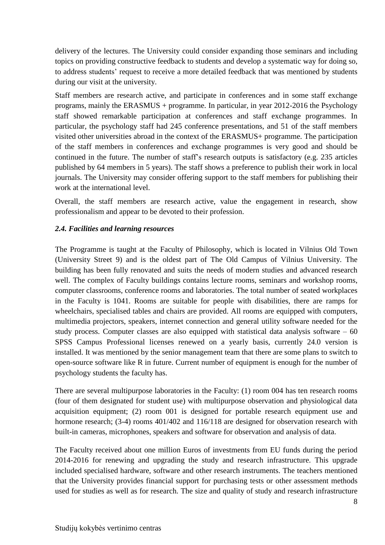delivery of the lectures. The University could consider expanding those seminars and including topics on providing constructive feedback to students and develop a systematic way for doing so, to address students' request to receive a more detailed feedback that was mentioned by students during our visit at the university.

Staff members are research active, and participate in conferences and in some staff exchange programs, mainly the ERASMUS + programme. In particular, in year 2012-2016 the Psychology staff showed remarkable participation at conferences and staff exchange programmes. In particular, the psychology staff had 245 conference presentations, and 51 of the staff members visited other universities abroad in the context of the ERASMUS+ programme. The participation of the staff members in conferences and exchange programmes is very good and should be continued in the future. The number of staff's research outputs is satisfactory (e.g. 235 articles published by 64 members in 5 years). The staff shows a preference to publish their work in local journals. The University may consider offering support to the staff members for publishing their work at the international level.

Overall, the staff members are research active, value the engagement in research, show professionalism and appear to be devoted to their profession.

# *2.4. Facilities and learning resources*

The Programme is taught at the Faculty of Philosophy, which is located in Vilnius Old Town (University Street 9) and is the oldest part of The Old Campus of Vilnius University. The building has been fully renovated and suits the needs of modern studies and advanced research well. The complex of Faculty buildings contains lecture rooms, seminars and workshop rooms, computer classrooms, conference rooms and laboratories. The total number of seated workplaces in the Faculty is 1041. Rooms are suitable for people with disabilities, there are ramps for wheelchairs, specialised tables and chairs are provided. All rooms are equipped with computers, multimedia projectors, speakers, internet connection and general utility software needed for the study process. Computer classes are also equipped with statistical data analysis software  $-60$ SPSS Campus Professional licenses renewed on a yearly basis, currently 24.0 version is installed. It was mentioned by the senior management team that there are some plans to switch to open-source software like R in future. Current number of equipment is enough for the number of psychology students the faculty has.

There are several multipurpose laboratories in the Faculty: (1) room 004 has ten research rooms (four of them designated for student use) with multipurpose observation and physiological data acquisition equipment; (2) room 001 is designed for portable research equipment use and hormone research; (3-4) rooms  $401/402$  and  $116/118$  are designed for observation research with built-in cameras, microphones, speakers and software for observation and analysis of data.

The Faculty received about one million Euros of investments from EU funds during the period 2014-2016 for renewing and upgrading the study and research infrastructure. This upgrade included specialised hardware, software and other research instruments. The teachers mentioned that the University provides financial support for purchasing tests or other assessment methods used for studies as well as for research. The size and quality of study and research infrastructure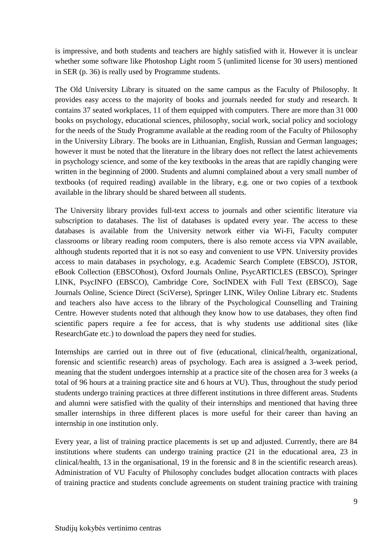is impressive, and both students and teachers are highly satisfied with it. However it is unclear whether some software like Photoshop Light room 5 (unlimited license for 30 users) mentioned in SER (p. 36) is really used by Programme students.

The Old University Library is situated on the same campus as the Faculty of Philosophy. It provides easy access to the majority of books and journals needed for study and research. It contains 37 seated workplaces, 11 of them equipped with computers. There are more than 31 000 books on psychology, educational sciences, philosophy, social work, social policy and sociology for the needs of the Study Programme available at the reading room of the Faculty of Philosophy in the University Library. The books are in Lithuanian, English, Russian and German languages; however it must be noted that the literature in the library does not reflect the latest achievements in psychology science, and some of the key textbooks in the areas that are rapidly changing were written in the beginning of 2000. Students and alumni complained about a very small number of textbooks (of required reading) available in the library, e.g. one or two copies of a textbook available in the library should be shared between all students.

The University library provides full-text access to journals and other scientific literature via subscription to databases. The list of databases is updated every year. The access to these databases is available from the University network either via Wi-Fi, Faculty computer classrooms or library reading room computers, there is also remote access via VPN available, although students reported that it is not so easy and convenient to use VPN. University provides access to main databases in psychology, e.g. Academic Search Complete (EBSCO), JSTOR, eBook Collection (EBSCOhost), Oxford Journals Online, PsycARTICLES (EBSCO), Springer LINK, PsycINFO (EBSCO), Cambridge Core, SocINDEX with Full Text (EBSCO), Sage Journals Online, Science Direct (SciVerse), Springer LINK, Wiley Online Library etc. Students and teachers also have access to the library of the Psychological Counselling and Training Centre. However students noted that although they know how to use databases, they often find scientific papers require a fee for access, that is why students use additional sites (like ResearchGate etc.) to download the papers they need for studies.

Internships are carried out in three out of five (educational, clinical/health, organizational, forensic and scientific research) areas of psychology. Each area is assigned a 3-week period, meaning that the student undergoes internship at a practice site of the chosen area for 3 weeks (a total of 96 hours at a training practice site and 6 hours at VU). Thus, throughout the study period students undergo training practices at three different institutions in three different areas. Students and alumni were satisfied with the quality of their internships and mentioned that having three smaller internships in three different places is more useful for their career than having an internship in one institution only.

Every year, a list of training practice placements is set up and adjusted. Currently, there are 84 institutions where students can undergo training practice (21 in the educational area, 23 in clinical/health, 13 in the organisational, 19 in the forensic and 8 in the scientific research areas). Administration of VU Faculty of Philosophy concludes budget allocation contracts with places of training practice and students conclude agreements on student training practice with training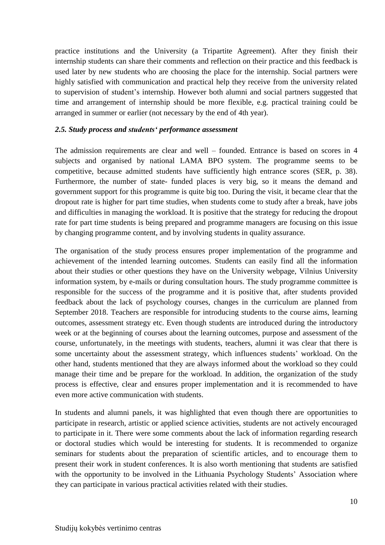practice institutions and the University (a Tripartite Agreement). After they finish their internship students can share their comments and reflection on their practice and this feedback is used later by new students who are choosing the place for the internship. Social partners were highly satisfied with communication and practical help they receive from the university related to supervision of student's internship. However both alumni and social partners suggested that time and arrangement of internship should be more flexible, e.g. practical training could be arranged in summer or earlier (not necessary by the end of 4th year).

#### *2.5. Study process and students' performance assessment*

The admission requirements are clear and well – founded. Entrance is based on scores in 4 subjects and organised by national LAMA BPO system. The programme seems to be competitive, because admitted students have sufficiently high entrance scores (SER, p. 38). Furthermore, the number of state- funded places is very big, so it means the demand and government support for this programme is quite big too. During the visit, it became clear that the dropout rate is higher for part time studies, when students come to study after a break, have jobs and difficulties in managing the workload. It is positive that the strategy for reducing the dropout rate for part time students is being prepared and programme managers are focusing on this issue by changing programme content, and by involving students in quality assurance.

The organisation of the study process ensures proper implementation of the programme and achievement of the intended learning outcomes. Students can easily find all the information about their studies or other questions they have on the University webpage, Vilnius University information system, by e-mails or during consultation hours. The study programme committee is responsible for the success of the programme and it is positive that, after students provided feedback about the lack of psychology courses, changes in the curriculum are planned from September 2018. Teachers are responsible for introducing students to the course aims, learning outcomes, assessment strategy etc. Even though students are introduced during the introductory week or at the beginning of courses about the learning outcomes, purpose and assessment of the course, unfortunately, in the meetings with students, teachers, alumni it was clear that there is some uncertainty about the assessment strategy, which influences students' workload. On the other hand, students mentioned that they are always informed about the workload so they could manage their time and be prepare for the workload. In addition, the organization of the study process is effective, clear and ensures proper implementation and it is recommended to have even more active communication with students.

In students and alumni panels, it was highlighted that even though there are opportunities to participate in research, artistic or applied science activities, students are not actively encouraged to participate in it. There were some comments about the lack of information regarding research or doctoral studies which would be interesting for students. It is recommended to organize seminars for students about the preparation of scientific articles, and to encourage them to present their work in student conferences. It is also worth mentioning that students are satisfied with the opportunity to be involved in the Lithuania Psychology Students' Association where they can participate in various practical activities related with their studies.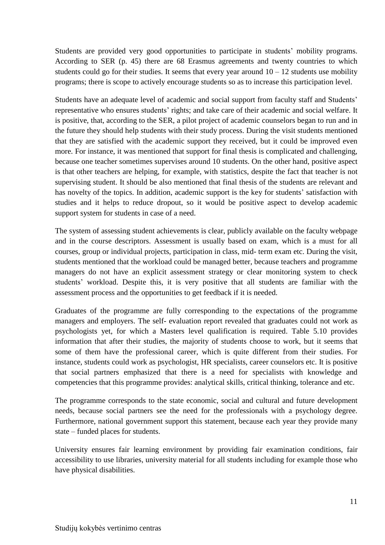Students are provided very good opportunities to participate in students' mobility programs. According to SER (p. 45) there are 68 Erasmus agreements and twenty countries to which students could go for their studies. It seems that every year around  $10 - 12$  students use mobility programs; there is scope to actively encourage students so as to increase this participation level.

Students have an adequate level of academic and social support from faculty staff and Students' representative who ensures students' rights; and take care of their academic and social welfare. It is positive, that, according to the SER, a pilot project of academic counselors began to run and in the future they should help students with their study process. During the visit students mentioned that they are satisfied with the academic support they received, but it could be improved even more. For instance, it was mentioned that support for final thesis is complicated and challenging, because one teacher sometimes supervises around 10 students. On the other hand, positive aspect is that other teachers are helping, for example, with statistics, despite the fact that teacher is not supervising student. It should be also mentioned that final thesis of the students are relevant and has novelty of the topics. In addition, academic support is the key for students' satisfaction with studies and it helps to reduce dropout, so it would be positive aspect to develop academic support system for students in case of a need.

The system of assessing student achievements is clear, publicly available on the faculty webpage and in the course descriptors. Assessment is usually based on exam, which is a must for all courses, group or individual projects, participation in class, mid- term exam etc. During the visit, students mentioned that the workload could be managed better, because teachers and programme managers do not have an explicit assessment strategy or clear monitoring system to check students' workload. Despite this, it is very positive that all students are familiar with the assessment process and the opportunities to get feedback if it is needed.

Graduates of the programme are fully corresponding to the expectations of the programme managers and employers. The self- evaluation report revealed that graduates could not work as psychologists yet, for which a Masters level qualification is required. Table 5.10 provides information that after their studies, the majority of students choose to work, but it seems that some of them have the professional career, which is quite different from their studies. For instance, students could work as psychologist, HR specialists, career counselors etc. It is positive that social partners emphasized that there is a need for specialists with knowledge and competencies that this programme provides: analytical skills, critical thinking, tolerance and etc.

The programme corresponds to the state economic, social and cultural and future development needs, because social partners see the need for the professionals with a psychology degree. Furthermore, national government support this statement, because each year they provide many state – funded places for students.

University ensures fair learning environment by providing fair examination conditions, fair accessibility to use libraries, university material for all students including for example those who have physical disabilities.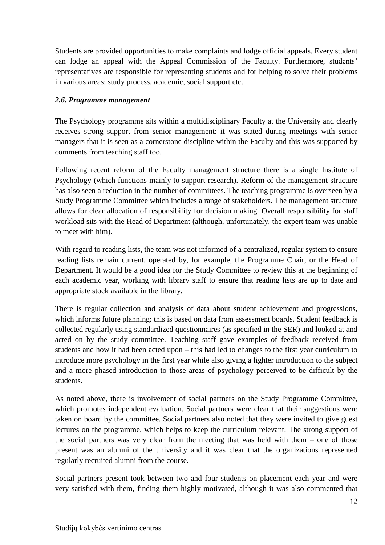Students are provided opportunities to make complaints and lodge official appeals. Every student can lodge an appeal with the Appeal Commission of the Faculty. Furthermore, students' representatives are responsible for representing students and for helping to solve their problems in various areas: study process, academic, social support etc.

## *2.6. Programme management*

The Psychology programme sits within a multidisciplinary Faculty at the University and clearly receives strong support from senior management: it was stated during meetings with senior managers that it is seen as a cornerstone discipline within the Faculty and this was supported by comments from teaching staff too.

Following recent reform of the Faculty management structure there is a single Institute of Psychology (which functions mainly to support research). Reform of the management structure has also seen a reduction in the number of committees. The teaching programme is overseen by a Study Programme Committee which includes a range of stakeholders. The management structure allows for clear allocation of responsibility for decision making. Overall responsibility for staff workload sits with the Head of Department (although, unfortunately, the expert team was unable to meet with him).

With regard to reading lists, the team was not informed of a centralized, regular system to ensure reading lists remain current, operated by, for example, the Programme Chair, or the Head of Department. It would be a good idea for the Study Committee to review this at the beginning of each academic year, working with library staff to ensure that reading lists are up to date and appropriate stock available in the library.

There is regular collection and analysis of data about student achievement and progressions, which informs future planning: this is based on data from assessment boards. Student feedback is collected regularly using standardized questionnaires (as specified in the SER) and looked at and acted on by the study committee. Teaching staff gave examples of feedback received from students and how it had been acted upon – this had led to changes to the first year curriculum to introduce more psychology in the first year while also giving a lighter introduction to the subject and a more phased introduction to those areas of psychology perceived to be difficult by the students.

As noted above, there is involvement of social partners on the Study Programme Committee, which promotes independent evaluation. Social partners were clear that their suggestions were taken on board by the committee. Social partners also noted that they were invited to give guest lectures on the programme, which helps to keep the curriculum relevant. The strong support of the social partners was very clear from the meeting that was held with them – one of those present was an alumni of the university and it was clear that the organizations represented regularly recruited alumni from the course.

Social partners present took between two and four students on placement each year and were very satisfied with them, finding them highly motivated, although it was also commented that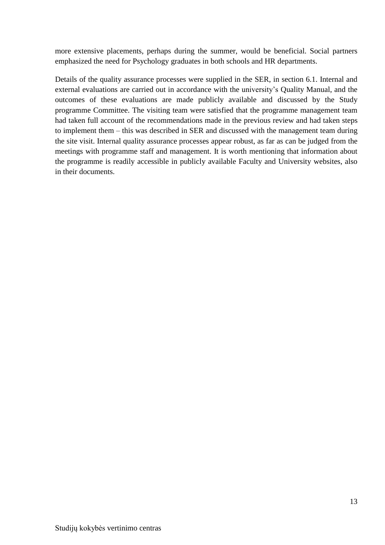more extensive placements, perhaps during the summer, would be beneficial. Social partners emphasized the need for Psychology graduates in both schools and HR departments.

Details of the quality assurance processes were supplied in the SER, in section 6.1. Internal and external evaluations are carried out in accordance with the university's Quality Manual, and the outcomes of these evaluations are made publicly available and discussed by the Study programme Committee. The visiting team were satisfied that the programme management team had taken full account of the recommendations made in the previous review and had taken steps to implement them – this was described in SER and discussed with the management team during the site visit. Internal quality assurance processes appear robust, as far as can be judged from the meetings with programme staff and management. It is worth mentioning that information about the programme is readily accessible in publicly available Faculty and University websites, also in their documents.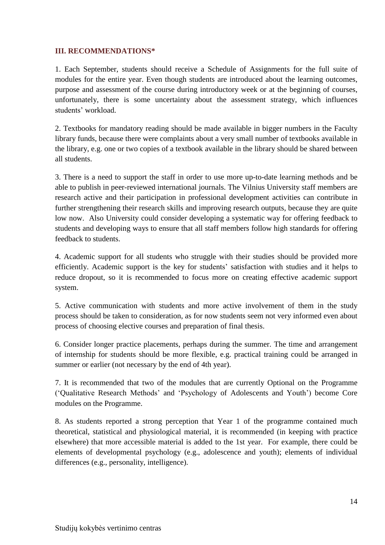## **III. RECOMMENDATIONS\***

1. Each September, students should receive a Schedule of Assignments for the full suite of modules for the entire year. Even though students are introduced about the learning outcomes, purpose and assessment of the course during introductory week or at the beginning of courses, unfortunately, there is some uncertainty about the assessment strategy, which influences students' workload.

2. Textbooks for mandatory reading should be made available in bigger numbers in the Faculty library funds, because there were complaints about a very small number of textbooks available in the library, e.g. one or two copies of a textbook available in the library should be shared between all students.

3. There is a need to support the staff in order to use more up-to-date learning methods and be able to publish in peer-reviewed international journals. The Vilnius University staff members are research active and their participation in professional development activities can contribute in further strengthening their research skills and improving research outputs, because they are quite low now. Also University could consider developing a systematic way for offering feedback to students and developing ways to ensure that all staff members follow high standards for offering feedback to students.

4. Academic support for all students who struggle with their studies should be provided more efficiently. Academic support is the key for students' satisfaction with studies and it helps to reduce dropout, so it is recommended to focus more on creating effective academic support system.

5. Active communication with students and more active involvement of them in the study process should be taken to consideration, as for now students seem not very informed even about process of choosing elective courses and preparation of final thesis.

6. Consider longer practice placements, perhaps during the summer. The time and arrangement of internship for students should be more flexible, e.g. practical training could be arranged in summer or earlier (not necessary by the end of 4th year).

7. It is recommended that two of the modules that are currently Optional on the Programme ('Qualitative Research Methods' and 'Psychology of Adolescents and Youth') become Core modules on the Programme.

8. As students reported a strong perception that Year 1 of the programme contained much theoretical, statistical and physiological material, it is recommended (in keeping with practice elsewhere) that more accessible material is added to the 1st year. For example, there could be elements of developmental psychology (e.g., adolescence and youth); elements of individual differences (e.g., personality, intelligence).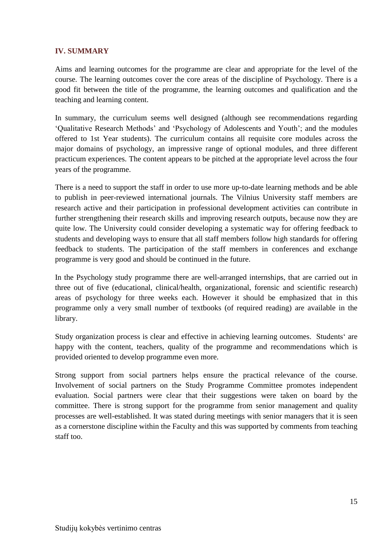### **IV. SUMMARY**

Aims and learning outcomes for the programme are clear and appropriate for the level of the course. The learning outcomes cover the core areas of the discipline of Psychology. There is a good fit between the title of the programme, the learning outcomes and qualification and the teaching and learning content.

In summary, the curriculum seems well designed (although see recommendations regarding 'Qualitative Research Methods' and 'Psychology of Adolescents and Youth'; and the modules offered to 1st Year students). The curriculum contains all requisite core modules across the major domains of psychology, an impressive range of optional modules, and three different practicum experiences. The content appears to be pitched at the appropriate level across the four years of the programme.

There is a need to support the staff in order to use more up-to-date learning methods and be able to publish in peer-reviewed international journals. The Vilnius University staff members are research active and their participation in professional development activities can contribute in further strengthening their research skills and improving research outputs, because now they are quite low. The University could consider developing a systematic way for offering feedback to students and developing ways to ensure that all staff members follow high standards for offering feedback to students. The participation of the staff members in conferences and exchange programme is very good and should be continued in the future.

In the Psychology study programme there are well-arranged internships, that are carried out in three out of five (educational, clinical/health, organizational, forensic and scientific research) areas of psychology for three weeks each. However it should be emphasized that in this programme only a very small number of textbooks (of required reading) are available in the library.

Study organization process is clear and effective in achieving learning outcomes. Students' are happy with the content, teachers, quality of the programme and recommendations which is provided oriented to develop programme even more.

Strong support from social partners helps ensure the practical relevance of the course. Involvement of social partners on the Study Programme Committee promotes independent evaluation. Social partners were clear that their suggestions were taken on board by the committee. There is strong support for the programme from senior management and quality processes are well-established. It was stated during meetings with senior managers that it is seen as a cornerstone discipline within the Faculty and this was supported by comments from teaching staff too.